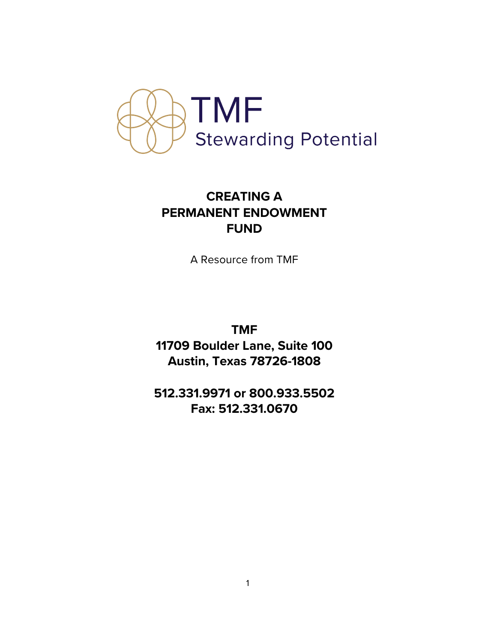

# **CREATING A PERMANENT ENDOWMENT FUND**

A Resource from TMF

**TMF 11709 Boulder Lane, Suite 100 Austin, Texas 78726-1808** 

**512.331.9971 or 800.933.5502 Fax: 512.331.0670**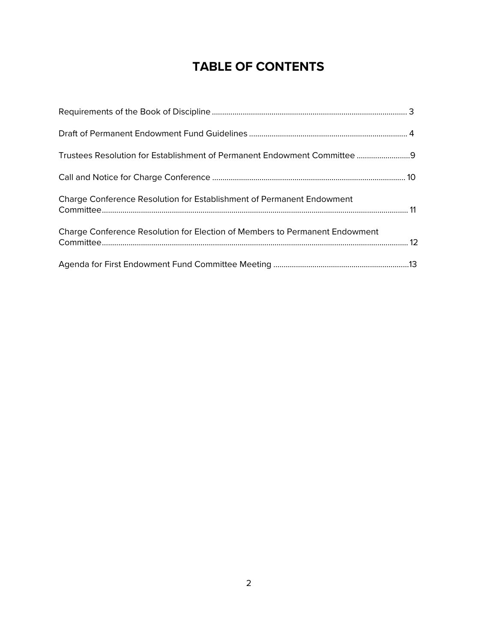# **TABLE OF CONTENTS**

| Trustees Resolution for Establishment of Permanent Endowment Committee 9     |  |
|------------------------------------------------------------------------------|--|
|                                                                              |  |
| <b>Charge Conference Resolution for Establishment of Permanent Endowment</b> |  |
| Charge Conference Resolution for Election of Members to Permanent Endowment  |  |
|                                                                              |  |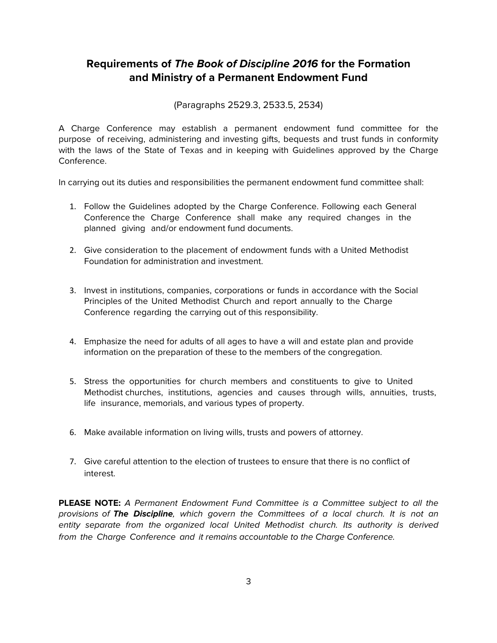### **Requirements of The Book of Discipline 2016 for the Formation and Ministry of a Permanent Endowment Fund**

(Paragraphs 2529.3, 2533.5, 2534)

A Charge Conference may establish a permanent endowment fund committee for the purpose of receiving, administering and investing gifts, bequests and trust funds in conformity with the laws of the State of Texas and in keeping with Guidelines approved by the Charge Conference.

In carrying out its duties and responsibilities the permanent endowment fund committee shall:

- 1. Follow the Guidelines adopted by the Charge Conference. Following each General Conference the Charge Conference shall make any required changes in the planned giving and/or endowment fund documents.
- 2. Give consideration to the placement of endowment funds with a United Methodist Foundation for administration and investment.
- 3. Invest in institutions, companies, corporations or funds in accordance with the Social Principles of the United Methodist Church and report annually to the Charge Conference regarding the carrying out of this responsibility.
- 4. Emphasize the need for adults of all ages to have a will and estate plan and provide information on the preparation of these to the members of the congregation.
- 5. Stress the opportunities for church members and constituents to give to United Methodist churches, institutions, agencies and causes through wills, annuities, trusts, life insurance, memorials, and various types of property.
- 6. Make available information on living wills, trusts and powers of attorney.
- 7. Give careful attention to the election of trustees to ensure that there is no conflict of interest.

**PLEASE NOTE:** A Permanent Endowment Fund Committee is a Committee subject to all the provisions of **The Discipline**, which govern the Committees of a local church. It is not an entity separate from the organized local United Methodist church. Its authority is derived from the Charge Conference and it remains accountable to the Charge Conference.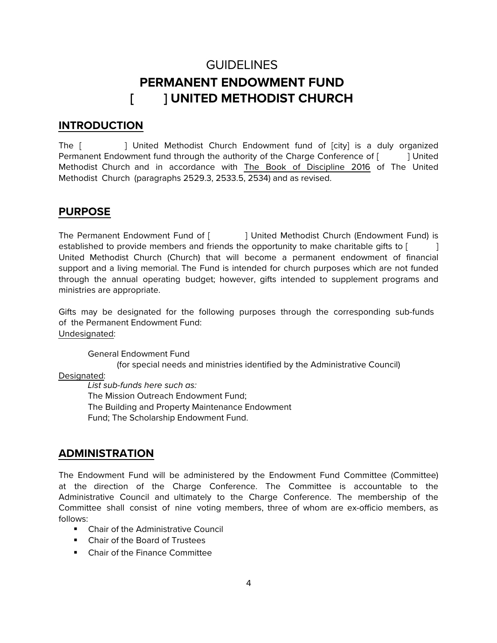# GUIDELINES **PERMANENT ENDOWMENT FUND [ ] UNITED METHODIST CHURCH**

#### **INTRODUCTION**

The [ ] United Methodist Church Endowment fund of [city] is a duly organized Permanent Endowment fund through the authority of the Charge Conference of [ ] United Methodist Church and in accordance with The Book of Discipline 2016 of The United Methodist Church (paragraphs 2529.3, 2533.5, 2534) and as revised.

#### **PURPOSE**

The Permanent Endowment Fund of [ ] United Methodist Church (Endowment Fund) is established to provide members and friends the opportunity to make charitable gifts to [ United Methodist Church (Church) that will become a permanent endowment of financial support and a living memorial. The Fund is intended for church purposes which are not funded through the annual operating budget; however, gifts intended to supplement programs and ministries are appropriate.

Gifts may be designated for the following purposes through the corresponding sub-funds of the Permanent Endowment Fund: Undesignated:

General Endowment Fund (for special needs and ministries identified by the Administrative Council)

#### Designated:

List sub-funds here such as: The Mission Outreach Endowment Fund; The Building and Property Maintenance Endowment Fund; The Scholarship Endowment Fund.

#### **ADMINISTRATION**

The Endowment Fund will be administered by the Endowment Fund Committee (Committee) at the direction of the Charge Conference. The Committee is accountable to the Administrative Council and ultimately to the Charge Conference. The membership of the Committee shall consist of nine voting members, three of whom are ex-officio members, as follows:

- Chair of the Administrative Council
- Chair of the Board of Trustees
- Chair of the Finance Committee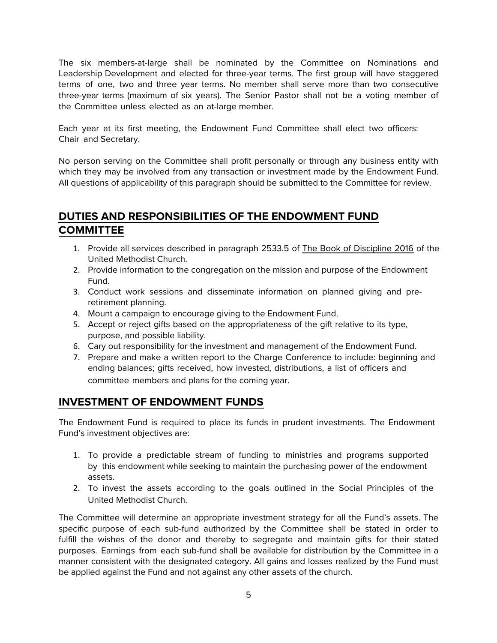The six members-at-large shall be nominated by the Committee on Nominations and Leadership Development and elected for three-year terms. The first group will have staggered terms of one, two and three year terms. No member shall serve more than two consecutive three-year terms (maximum of six years). The Senior Pastor shall not be a voting member of the Committee unless elected as an at-large member.

Each year at its first meeting, the Endowment Fund Committee shall elect two officers: Chair and Secretary.

No person serving on the Committee shall profit personally or through any business entity with which they may be involved from any transaction or investment made by the Endowment Fund. All questions of applicability of this paragraph should be submitted to the Committee for review.

### **DUTIES AND RESPONSIBILITIES OF THE ENDOWMENT FUND COMMITTEE**

- 1. Provide all services described in paragraph 2533.5 of The Book of Discipline 2016 of the United Methodist Church.
- 2. Provide information to the congregation on the mission and purpose of the Endowment Fund.
- 3. Conduct work sessions and disseminate information on planned giving and preretirement planning.
- 4. Mount a campaign to encourage giving to the Endowment Fund.
- 5. Accept or reject gifts based on the appropriateness of the gift relative to its type, purpose, and possible liability.
- 6. Cary out responsibility for the investment and management of the Endowment Fund.
- 7. Prepare and make a written report to the Charge Conference to include: beginning and ending balances; gifts received, how invested, distributions, a list of officers and committee members and plans for the coming year.

### **INVESTMENT OF ENDOWMENT FUNDS**

The Endowment Fund is required to place its funds in prudent investments. The Endowment Fund's investment objectives are:

- 1. To provide a predictable stream of funding to ministries and programs supported by this endowment while seeking to maintain the purchasing power of the endowment assets.
- 2. To invest the assets according to the goals outlined in the Social Principles of the United Methodist Church.

The Committee will determine an appropriate investment strategy for all the Fund's assets. The specific purpose of each sub-fund authorized by the Committee shall be stated in order to fulfill the wishes of the donor and thereby to segregate and maintain gifts for their stated purposes. Earnings from each sub-fund shall be available for distribution by the Committee in a manner consistent with the designated category. All gains and losses realized by the Fund must be applied against the Fund and not against any other assets of the church.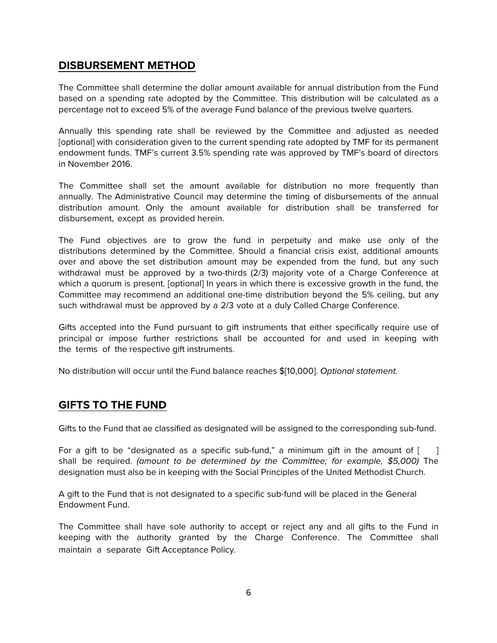#### **DISBURSEMENT METHOD**

The Committee shall determine the dollar amount available for annual distribution from the Fund based on a spending rate adopted by the Committee. This distribution will be calculated as a percentage not to exceed 5% of the average Fund balance of the previous twelve quarters.

Annually this spending rate shall be reviewed by the Committee and adjusted as needed [optional] with consideration given to the current spending rate adopted by TMF for its permanent endowment funds. TMF's current 3.5% spending rate was approved by TMF's board of directors in November 2016.

The Committee shall set the amount available for distribution no more frequently than annually. The Administrative Council may determine the timing of disbursements of the annual distribution amount. Only the amount available for distribution shall be transferred for disbursement, except as provided herein.

The Fund objectives are to grow the fund in perpetuity and make use only of the distributions determined by the Committee. Should a financial crisis exist, additional amounts over and above the set distribution amount may be expended from the fund, but any such withdrawal must be approved by a two-thirds (2/3) majority vote of a Charge Conference at which a quorum is present. [optional] In years in which there is excessive growth in the fund, the Committee may recommend an additional one-time distribution beyond the 5% ceiling, but any such withdrawal must be approved by a 2/3 vote at a duly Called Charge Conference.

Gifts accepted into the Fund pursuant to gift instruments that either specifically require use of principal or impose further restrictions shall be accounted for and used in keeping with the terms of the respective gift instruments.

No distribution will occur until the Fund balance reaches \$[10,000]. Optional statement.

#### **GIFTS TO THE FUND**

Gifts to the Fund that ae classified as designated will be assigned to the corresponding sub-fund.

For a gift to be "designated as a specific sub-fund," a minimum gift in the amount of [ shall be required. (amount to be determined by the Committee; for example, \$5,000) The designation must also be in keeping with the Social Principles of the United Methodist Church.

A gift to the Fund that is not designated to a specific sub-fund will be placed in the General Endowment Fund.

The Committee shall have sole authority to accept or reject any and all gifts to the Fund in keeping with the authority granted by the Charge Conference. The Committee shall maintain a separate Gift Acceptance Policy.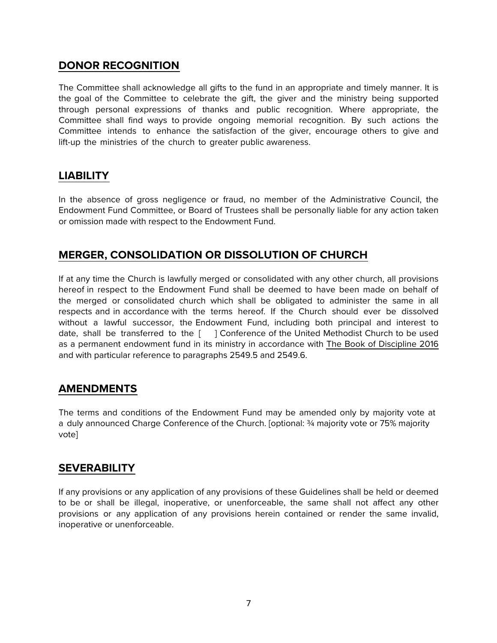#### **DONOR RECOGNITION**

The Committee shall acknowledge all gifts to the fund in an appropriate and timely manner. It is the goal of the Committee to celebrate the gift, the giver and the ministry being supported through personal expressions of thanks and public recognition. Where appropriate, the Committee shall find ways to provide ongoing memorial recognition. By such actions the Committee intends to enhance the satisfaction of the giver, encourage others to give and lift-up the ministries of the church to greater public awareness.

### **LIABILITY**

In the absence of gross negligence or fraud, no member of the Administrative Council, the Endowment Fund Committee, or Board of Trustees shall be personally liable for any action taken or omission made with respect to the Endowment Fund.

#### **MERGER, CONSOLIDATION OR DISSOLUTION OF CHURCH**

If at any time the Church is lawfully merged or consolidated with any other church, all provisions hereof in respect to the Endowment Fund shall be deemed to have been made on behalf of the merged or consolidated church which shall be obligated to administer the same in all respects and in accordance with the terms hereof. If the Church should ever be dissolved without a lawful successor, the Endowment Fund, including both principal and interest to date, shall be transferred to the [ ] Conference of the United Methodist Church to be used as a permanent endowment fund in its ministry in accordance with The Book of Discipline 2016 and with particular reference to paragraphs 2549.5 and 2549.6.

#### **AMENDMENTS**

The terms and conditions of the Endowment Fund may be amended only by majority vote at a duly announced Charge Conference of the Church. [optional: ¾ majority vote or 75% majority vote]

#### **SEVERABILITY**

If any provisions or any application of any provisions of these Guidelines shall be held or deemed to be or shall be illegal, inoperative, or unenforceable, the same shall not affect any other provisions or any application of any provisions herein contained or render the same invalid, inoperative or unenforceable.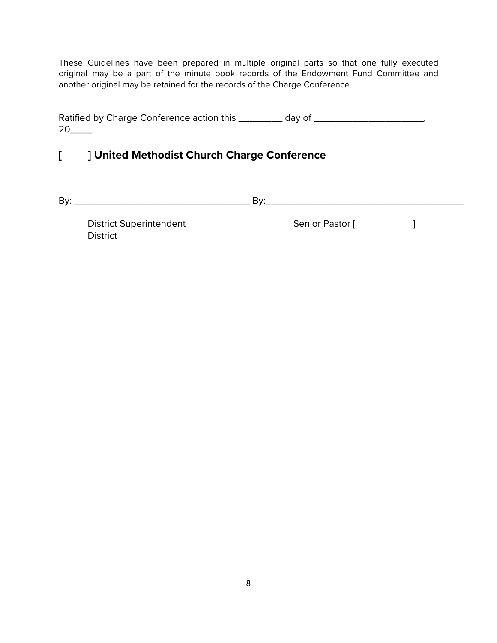These Guidelines have been prepared in multiple original parts so that one fully executed original may be a part of the minute book records of the Endowment Fund Committee and another original may be retained for the records of the Charge Conference.

Ratified by Charge Conference action this \_\_\_\_\_\_\_\_\_ day of \_\_\_\_\_\_\_\_\_\_\_\_\_\_\_\_\_\_\_\_\_,  $20$ \_\_\_\_\_.

# **[ ] United Methodist Church Charge Conference**

By: \_\_\_\_\_\_\_\_\_\_\_\_\_\_\_\_\_\_\_\_\_\_\_\_\_\_\_\_\_\_\_\_ By:\_\_\_\_\_\_\_\_\_\_\_\_\_\_\_\_\_\_\_\_\_\_\_\_\_\_\_\_\_\_\_\_\_\_\_\_

**District** 

District Superintendent and Senior Pastor [ ]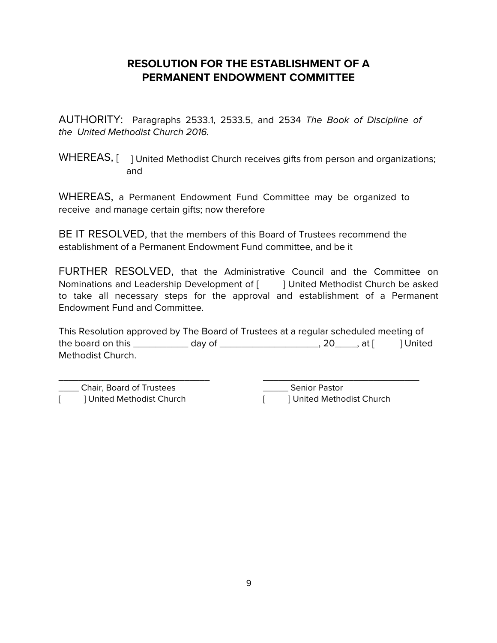# **RESOLUTION FOR THE ESTABLISHMENT OF A PERMANENT ENDOWMENT COMMITTEE**

AUTHORITY: Paragraphs 2533.1, 2533.5, and 2534 The Book of Discipline of the United Methodist Church 2016.

WHEREAS, a Permanent Endowment Fund Committee may be organized to receive and manage certain gifts; now therefore

BE IT RESOLVED, that the members of this Board of Trustees recommend the establishment of a Permanent Endowment Fund committee, and be it

FURTHER RESOLVED, that the Administrative Council and the Committee on Nominations and Leadership Development of [ ] United Methodist Church be asked to take all necessary steps for the approval and establishment of a Permanent Endowment Fund and Committee.

This Resolution approved by The Board of Trustees at a regular scheduled meeting of the board on this  $\_\_\_\_\_\_$  day of  $\_\_\_\_\_\_\_\_\_$ , 20,  $\_\_\_$  at  $\lceil$   $\_\_\_\_\_\_$  United Methodist Church.

\_\_\_\_ Chair, Board of Trustees [ ] United Methodist Church

\_\_\_\_\_\_\_\_\_\_\_\_\_\_\_\_\_\_\_\_\_\_\_\_\_\_\_\_\_\_

\_\_\_\_\_\_\_\_\_\_\_\_\_\_\_\_\_\_\_\_\_\_\_\_\_\_\_\_\_\_\_ \_\_\_\_\_ Senior Pastor [ ] United Methodist Church

WHEREAS, [ ] United Methodist Church receives gifts from person and organizations; and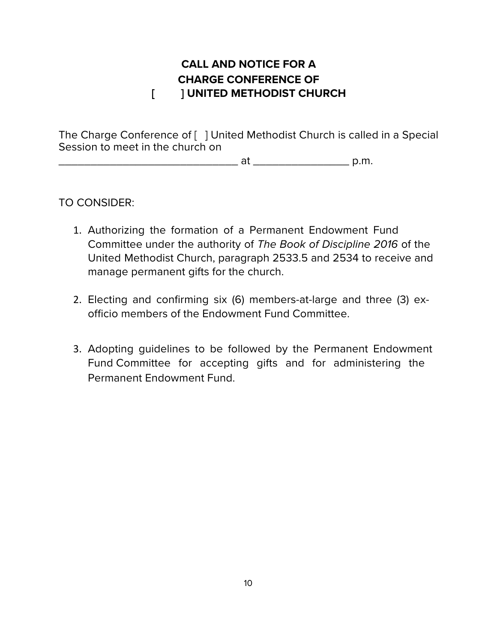# **CALL AND NOTICE FOR A CHARGE CONFERENCE OF [ ] UNITED METHODIST CHURCH**

The Charge Conference of [ ] United Methodist Church is called in a Special Session to meet in the church on

 $at$  at  $p.m.$ 

# TO CONSIDER:

- 1. Authorizing the formation of a Permanent Endowment Fund Committee under the authority of The Book of Discipline 2016 of the United Methodist Church, paragraph 2533.5 and 2534 to receive and manage permanent gifts for the church.
- 2. Electing and confirming six (6) members-at-large and three (3) exofficio members of the Endowment Fund Committee.
- 3. Adopting guidelines to be followed by the Permanent Endowment Fund Committee for accepting gifts and for administering the Permanent Endowment Fund.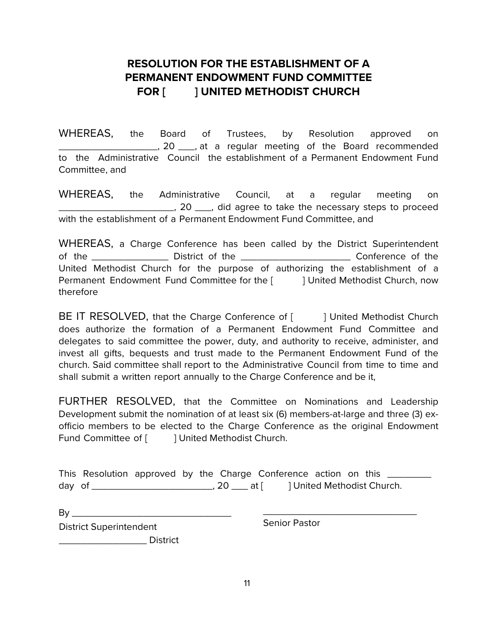# **RESOLUTION FOR THE ESTABLISHMENT OF A PERMANENT ENDOWMENT FUND COMMITTEE FOR [ ] UNITED METHODIST CHURCH**

WHEREAS, the Board of Trustees, by Resolution approved on \_\_\_\_\_\_\_\_\_\_\_\_\_\_\_\_\_\_, 20 \_\_\_, at a regular meeting of the Board recommended to the Administrative Council the establishment of a Permanent Endowment Fund Committee, and

WHEREAS, the Administrative Council, at a regular meeting on 1. 20 <sub>1,</sub> did agree to take the necessary steps to proceed with the establishment of a Permanent Endowment Fund Committee, and

WHEREAS, a Charge Conference has been called by the District Superintendent of the and District of the conference of the conference of the conference of the conference of the conference of the conference of the conference of the conference of the conference of the conference of the conference of t United Methodist Church for the purpose of authorizing the establishment of a Permanent Endowment Fund Committee for the [ ] United Methodist Church, now therefore

BE IT RESOLVED, that the Charge Conference of [ ] United Methodist Church does authorize the formation of a Permanent Endowment Fund Committee and delegates to said committee the power, duty, and authority to receive, administer, and invest all gifts, bequests and trust made to the Permanent Endowment Fund of the church. Said committee shall report to the Administrative Council from time to time and shall submit a written report annually to the Charge Conference and be it,

FURTHER RESOLVED, that the Committee on Nominations and Leadership Development submit the nomination of at least six (6) members-at-large and three (3) exofficio members to be elected to the Charge Conference as the original Endowment Fund Committee of [ ] United Methodist Church.

This Resolution approved by the Charge Conference action on this \_\_\_\_\_\_\_\_\_ day of \_\_\_\_\_\_\_\_\_\_\_\_\_\_\_\_\_\_\_\_\_\_\_\_\_\_\_\_\_, 20 \_\_\_\_ at [ ] United Methodist Church.

By \_\_\_\_\_\_\_\_\_\_\_\_\_\_\_\_\_\_\_\_\_\_\_\_\_\_\_\_\_ \_\_\_\_\_\_\_\_\_\_\_\_\_\_\_\_\_\_\_\_\_\_\_\_\_\_\_\_ District Superintendent

\_\_\_\_\_\_\_\_\_\_\_\_\_\_\_\_ District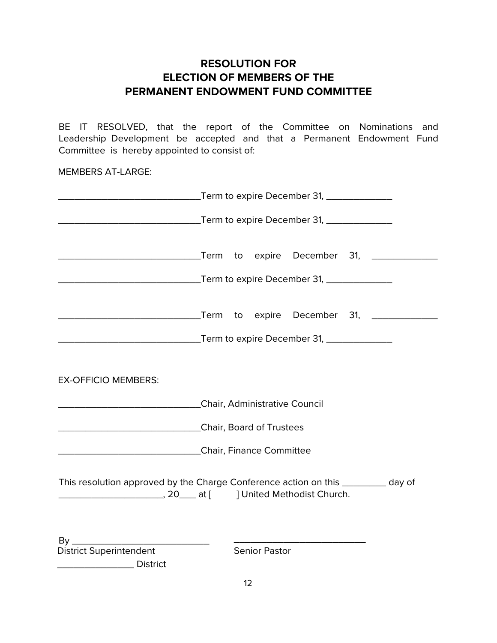### **RESOLUTION FOR ELECTION OF MEMBERS OF THE PERMANENT ENDOWMENT FUND COMMITTEE**

BE IT RESOLVED, that the report of the Committee on Nominations and Leadership Development be accepted and that a Permanent Endowment Fund Committee is hereby appointed to consist of:

MEMBERS AT-LARGE:

| ________________________________Term to expire December 31, ___________________    |  |  |                      |  |  |  |  |  |
|------------------------------------------------------------------------------------|--|--|----------------------|--|--|--|--|--|
|                                                                                    |  |  |                      |  |  |  |  |  |
|                                                                                    |  |  |                      |  |  |  |  |  |
| <b>EX-OFFICIO MEMBERS:</b>                                                         |  |  |                      |  |  |  |  |  |
| Chair, Administrative Council Chair, 2014                                          |  |  |                      |  |  |  |  |  |
| Chair, Board of Trustees                                                           |  |  |                      |  |  |  |  |  |
| Chair, Finance Committee                                                           |  |  |                      |  |  |  |  |  |
|                                                                                    |  |  |                      |  |  |  |  |  |
| This resolution approved by the Charge Conference action on this __________ day of |  |  |                      |  |  |  |  |  |
|                                                                                    |  |  |                      |  |  |  |  |  |
| <b>District Superintendent</b>                                                     |  |  | <b>Senior Pastor</b> |  |  |  |  |  |